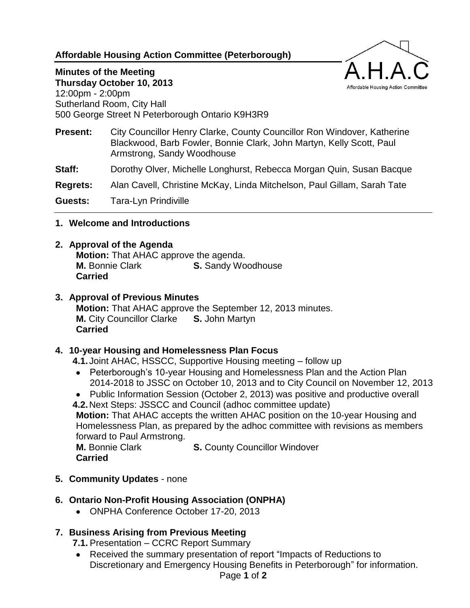# **Affordable Housing Action Committee (Peterborough)**

#### **Minutes of the Meeting Thursday October 10, 2013**

12:00pm - 2:00pm Sutherland Room, City Hall 500 George Street N Peterborough Ontario K9H3R9

**Present:** City Councillor Henry Clarke, County Councillor Ron Windover, Katherine Blackwood, Barb Fowler, Bonnie Clark, John Martyn, Kelly Scott, Paul Armstrong, Sandy Woodhouse

Affordable Housing Action Committee

**Staff:** Dorothy Olver, Michelle Longhurst, Rebecca Morgan Quin, Susan Bacque

**Regrets:** Alan Cavell, Christine McKay, Linda Mitchelson, Paul Gillam, Sarah Tate

**Guests:** Tara-Lyn Prindiville

**1. Welcome and Introductions**

## **2. Approval of the Agenda**

**Motion:** That AHAC approve the agenda. **M.** Bonnie Clark **S.** Sandy Woodhouse **Carried**

## **3. Approval of Previous Minutes**

**Motion:** That AHAC approve the September 12, 2013 minutes. **M.** City Councillor Clarke **S.** John Martyn **Carried**

#### **4. 10-year Housing and Homelessness Plan Focus**

**4.1.**Joint AHAC, HSSCC, Supportive Housing meeting – follow up

- Peterborough's 10-year Housing and Homelessness Plan and the Action Plan 2014-2018 to JSSC on October 10, 2013 and to City Council on November 12, 2013
- Public Information Session (October 2, 2013) was positive and productive overall

**4.2.**Next Steps: JSSCC and Council (adhoc committee update) **Motion:** That AHAC accepts the written AHAC position on the 10-year Housing and Homelessness Plan, as prepared by the adhoc committee with revisions as members forward to Paul Armstrong.

**M.** Bonnie Clark **S.** County Councillor Windover **Carried**

**5. Community Updates** - none

# **6. Ontario Non-Profit Housing Association (ONPHA)**

ONPHA Conference October 17-20, 2013

# **7. Business Arising from Previous Meeting**

**7.1.** Presentation – CCRC Report Summary

 Received the summary presentation of report "Impacts of Reductions to Discretionary and Emergency Housing Benefits in Peterborough" for information.